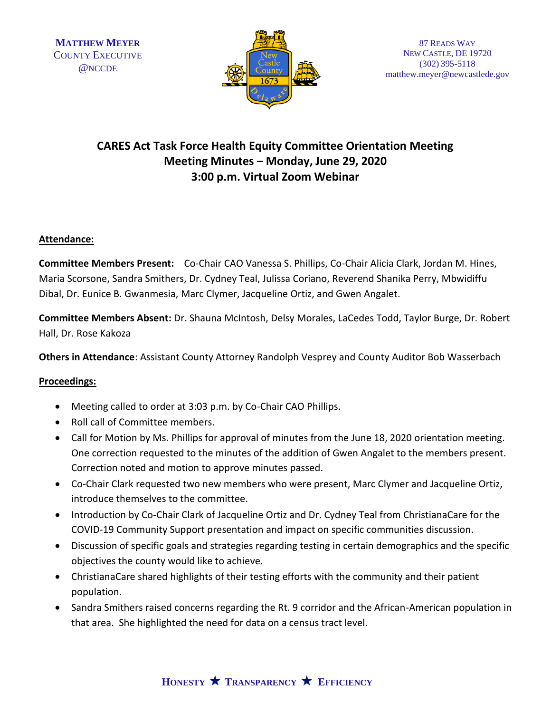

# **CARES Act Task Force Health Equity Committee Orientation Meeting Meeting Minutes – Monday, June 29, 2020 3:00 p.m. Virtual Zoom Webinar**

## **Attendance:**

**Committee Members Present:** Co-Chair CAO Vanessa S. Phillips, Co-Chair Alicia Clark, Jordan M. Hines, Maria Scorsone, Sandra Smithers, Dr. Cydney Teal, Julissa Coriano, Reverend Shanika Perry, Mbwidiffu Dibal, Dr. Eunice B. Gwanmesia, Marc Clymer, Jacqueline Ortiz, and Gwen Angalet.

**Committee Members Absent:** Dr. Shauna McIntosh, Delsy Morales, LaCedes Todd, Taylor Burge, Dr. Robert Hall, Dr. Rose Kakoza

**Others in Attendance**: Assistant County Attorney Randolph Vesprey and County Auditor Bob Wasserbach

### **Proceedings:**

- Meeting called to order at 3:03 p.m. by Co-Chair CAO Phillips.
- Roll call of Committee members.
- Call for Motion by Ms. Phillips for approval of minutes from the June 18, 2020 orientation meeting. One correction requested to the minutes of the addition of Gwen Angalet to the members present. Correction noted and motion to approve minutes passed.
- Co-Chair Clark requested two new members who were present, Marc Clymer and Jacqueline Ortiz, introduce themselves to the committee.
- Introduction by Co-Chair Clark of Jacqueline Ortiz and Dr. Cydney Teal from ChristianaCare for the COVID-19 Community Support presentation and impact on specific communities discussion.
- Discussion of specific goals and strategies regarding testing in certain demographics and the specific objectives the county would like to achieve.
- ChristianaCare shared highlights of their testing efforts with the community and their patient population.
- Sandra Smithers raised concerns regarding the Rt. 9 corridor and the African-American population in that area. She highlighted the need for data on a census tract level.